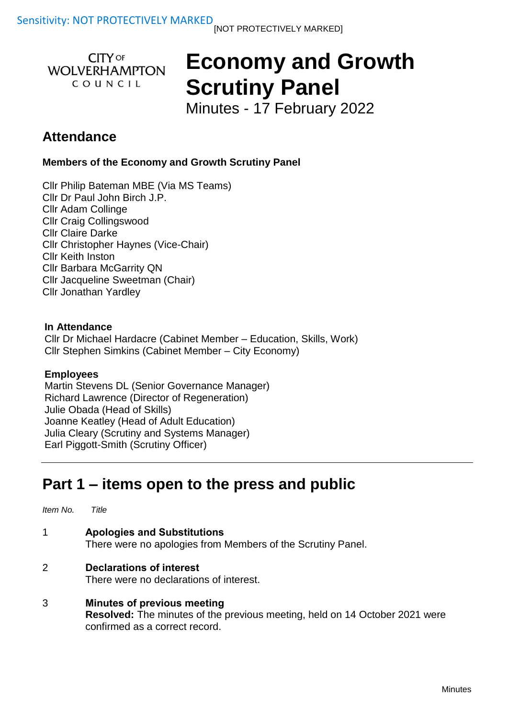**CITY OF WOLVERHAMPTON** COUNCIL

# **Economy and Growth Scrutiny Panel**

Minutes - 17 February 2022

### **Attendance**

**Members of the Economy and Growth Scrutiny Panel**

Cllr Philip Bateman MBE (Via MS Teams) Cllr Dr Paul John Birch J.P. Cllr Adam Collinge Cllr Craig Collingswood Cllr Claire Darke Cllr Christopher Haynes (Vice-Chair) Cllr Keith Inston Cllr Barbara McGarrity QN Cllr Jacqueline Sweetman (Chair) Cllr Jonathan Yardley

#### **In Attendance**

Cllr Dr Michael Hardacre (Cabinet Member – Education, Skills, Work) Cllr Stephen Simkins (Cabinet Member – City Economy)

#### **Employees**

Martin Stevens DL (Senior Governance Manager) Richard Lawrence (Director of Regeneration) Julie Obada (Head of Skills) Joanne Keatley (Head of Adult Education) Julia Cleary (Scrutiny and Systems Manager) Earl Piggott-Smith (Scrutiny Officer)

## **Part 1 – items open to the press and public**

| Item No.      | Title                                                                                             |
|---------------|---------------------------------------------------------------------------------------------------|
| -1            | <b>Apologies and Substitutions</b><br>There were no apologies from Members of the Scrutiny Panel. |
| $\mathcal{P}$ | <b>Declarations of interest</b><br>There were no declarations of interest.                        |

3 **Minutes of previous meeting Resolved:** The minutes of the previous meeting, held on 14 October 2021 were confirmed as a correct record.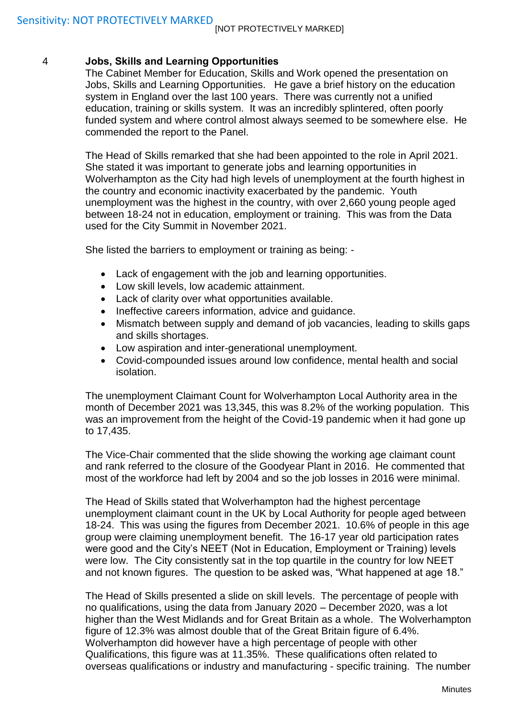#### 4 **Jobs, Skills and Learning Opportunities**

The Cabinet Member for Education, Skills and Work opened the presentation on Jobs, Skills and Learning Opportunities. He gave a brief history on the education system in England over the last 100 years. There was currently not a unified education, training or skills system. It was an incredibly splintered, often poorly funded system and where control almost always seemed to be somewhere else. He commended the report to the Panel.

The Head of Skills remarked that she had been appointed to the role in April 2021. She stated it was important to generate jobs and learning opportunities in Wolverhampton as the City had high levels of unemployment at the fourth highest in the country and economic inactivity exacerbated by the pandemic. Youth unemployment was the highest in the country, with over 2,660 young people aged between 18-24 not in education, employment or training. This was from the Data used for the City Summit in November 2021.

She listed the barriers to employment or training as being: -

- Lack of engagement with the job and learning opportunities.
- Low skill levels, low academic attainment.
- Lack of clarity over what opportunities available.
- Ineffective careers information, advice and quidance.
- Mismatch between supply and demand of job vacancies, leading to skills gaps and skills shortages.
- Low aspiration and inter-generational unemployment.
- Covid-compounded issues around low confidence, mental health and social isolation.

The unemployment Claimant Count for Wolverhampton Local Authority area in the month of December 2021 was 13,345, this was 8.2% of the working population. This was an improvement from the height of the Covid-19 pandemic when it had gone up to 17,435.

The Vice-Chair commented that the slide showing the working age claimant count and rank referred to the closure of the Goodyear Plant in 2016. He commented that most of the workforce had left by 2004 and so the job losses in 2016 were minimal.

The Head of Skills stated that Wolverhampton had the highest percentage unemployment claimant count in the UK by Local Authority for people aged between 18-24. This was using the figures from December 2021. 10.6% of people in this age group were claiming unemployment benefit. The 16-17 year old participation rates were good and the City's NEET (Not in Education, Employment or Training) levels were low. The City consistently sat in the top quartile in the country for low NEET and not known figures. The question to be asked was, "What happened at age 18."

The Head of Skills presented a slide on skill levels. The percentage of people with no qualifications, using the data from January 2020 – December 2020, was a lot higher than the West Midlands and for Great Britain as a whole. The Wolverhampton figure of 12.3% was almost double that of the Great Britain figure of 6.4%. Wolverhampton did however have a high percentage of people with other Qualifications, this figure was at 11.35%. These qualifications often related to overseas qualifications or industry and manufacturing - specific training. The number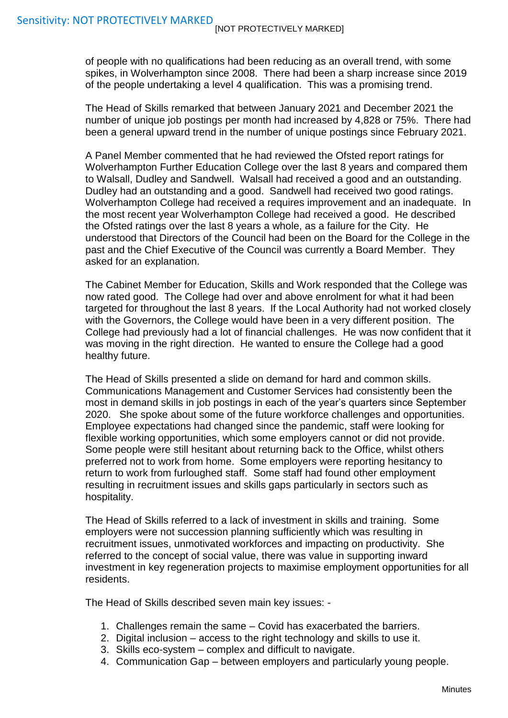of people with no qualifications had been reducing as an overall trend, with some spikes, in Wolverhampton since 2008. There had been a sharp increase since 2019 of the people undertaking a level 4 qualification. This was a promising trend.

The Head of Skills remarked that between January 2021 and December 2021 the number of unique job postings per month had increased by 4,828 or 75%. There had been a general upward trend in the number of unique postings since February 2021.

A Panel Member commented that he had reviewed the Ofsted report ratings for Wolverhampton Further Education College over the last 8 years and compared them to Walsall, Dudley and Sandwell. Walsall had received a good and an outstanding. Dudley had an outstanding and a good. Sandwell had received two good ratings. Wolverhampton College had received a requires improvement and an inadequate. In the most recent year Wolverhampton College had received a good. He described the Ofsted ratings over the last 8 years a whole, as a failure for the City. He understood that Directors of the Council had been on the Board for the College in the past and the Chief Executive of the Council was currently a Board Member. They asked for an explanation.

The Cabinet Member for Education, Skills and Work responded that the College was now rated good. The College had over and above enrolment for what it had been targeted for throughout the last 8 years. If the Local Authority had not worked closely with the Governors, the College would have been in a very different position. The College had previously had a lot of financial challenges. He was now confident that it was moving in the right direction. He wanted to ensure the College had a good healthy future.

The Head of Skills presented a slide on demand for hard and common skills. Communications Management and Customer Services had consistently been the most in demand skills in job postings in each of the year's quarters since September 2020. She spoke about some of the future workforce challenges and opportunities. Employee expectations had changed since the pandemic, staff were looking for flexible working opportunities, which some employers cannot or did not provide. Some people were still hesitant about returning back to the Office, whilst others preferred not to work from home. Some employers were reporting hesitancy to return to work from furloughed staff. Some staff had found other employment resulting in recruitment issues and skills gaps particularly in sectors such as hospitality.

The Head of Skills referred to a lack of investment in skills and training. Some employers were not succession planning sufficiently which was resulting in recruitment issues, unmotivated workforces and impacting on productivity. She referred to the concept of social value, there was value in supporting inward investment in key regeneration projects to maximise employment opportunities for all residents.

The Head of Skills described seven main key issues: -

- 1. Challenges remain the same Covid has exacerbated the barriers.
- 2. Digital inclusion access to the right technology and skills to use it.
- 3. Skills eco-system complex and difficult to navigate.
- 4. Communication Gap between employers and particularly young people.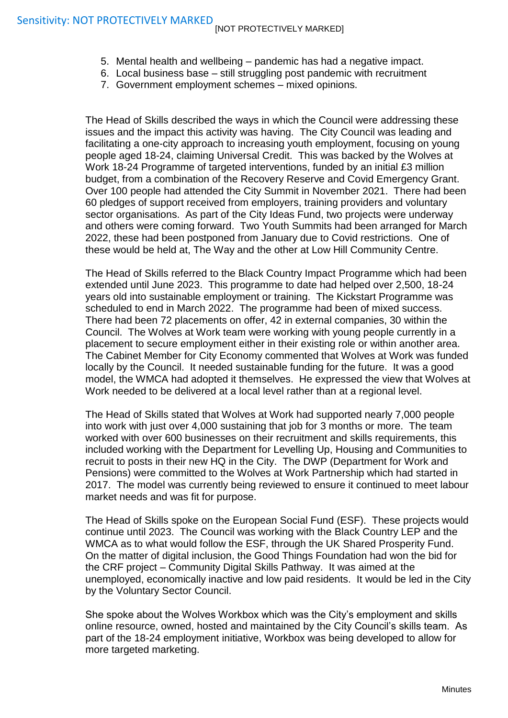- 5. Mental health and wellbeing pandemic has had a negative impact.
- 6. Local business base still struggling post pandemic with recruitment
- 7. Government employment schemes mixed opinions.

The Head of Skills described the ways in which the Council were addressing these issues and the impact this activity was having. The City Council was leading and facilitating a one-city approach to increasing youth employment, focusing on young people aged 18-24, claiming Universal Credit. This was backed by the Wolves at Work 18-24 Programme of targeted interventions, funded by an initial £3 million budget, from a combination of the Recovery Reserve and Covid Emergency Grant. Over 100 people had attended the City Summit in November 2021. There had been 60 pledges of support received from employers, training providers and voluntary sector organisations. As part of the City Ideas Fund, two projects were underway and others were coming forward. Two Youth Summits had been arranged for March 2022, these had been postponed from January due to Covid restrictions. One of these would be held at, The Way and the other at Low Hill Community Centre.

The Head of Skills referred to the Black Country Impact Programme which had been extended until June 2023. This programme to date had helped over 2,500, 18-24 years old into sustainable employment or training. The Kickstart Programme was scheduled to end in March 2022. The programme had been of mixed success. There had been 72 placements on offer, 42 in external companies, 30 within the Council. The Wolves at Work team were working with young people currently in a placement to secure employment either in their existing role or within another area. The Cabinet Member for City Economy commented that Wolves at Work was funded locally by the Council. It needed sustainable funding for the future. It was a good model, the WMCA had adopted it themselves. He expressed the view that Wolves at Work needed to be delivered at a local level rather than at a regional level.

The Head of Skills stated that Wolves at Work had supported nearly 7,000 people into work with just over 4,000 sustaining that job for 3 months or more. The team worked with over 600 businesses on their recruitment and skills requirements, this included working with the Department for Levelling Up, Housing and Communities to recruit to posts in their new HQ in the City. The DWP (Department for Work and Pensions) were committed to the Wolves at Work Partnership which had started in 2017. The model was currently being reviewed to ensure it continued to meet labour market needs and was fit for purpose.

The Head of Skills spoke on the European Social Fund (ESF). These projects would continue until 2023. The Council was working with the Black Country LEP and the WMCA as to what would follow the ESF, through the UK Shared Prosperity Fund. On the matter of digital inclusion, the Good Things Foundation had won the bid for the CRF project – Community Digital Skills Pathway. It was aimed at the unemployed, economically inactive and low paid residents. It would be led in the City by the Voluntary Sector Council.

She spoke about the Wolves Workbox which was the City's employment and skills online resource, owned, hosted and maintained by the City Council's skills team. As part of the 18-24 employment initiative, Workbox was being developed to allow for more targeted marketing.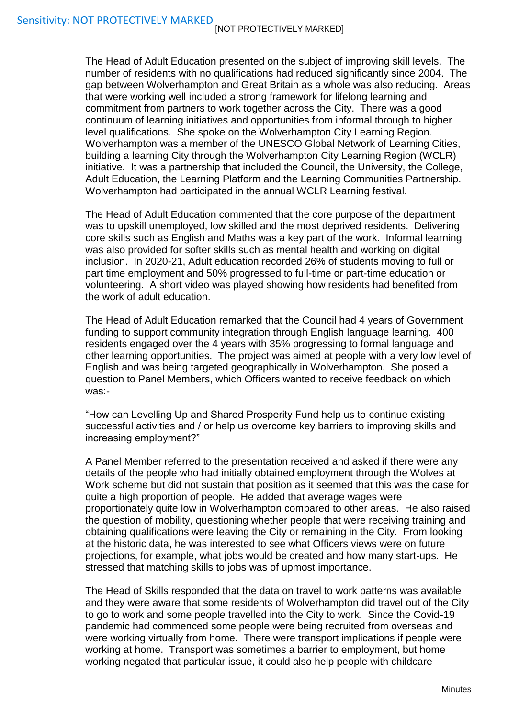The Head of Adult Education presented on the subject of improving skill levels. The number of residents with no qualifications had reduced significantly since 2004. The gap between Wolverhampton and Great Britain as a whole was also reducing. Areas that were working well included a strong framework for lifelong learning and commitment from partners to work together across the City. There was a good continuum of learning initiatives and opportunities from informal through to higher level qualifications. She spoke on the Wolverhampton City Learning Region. Wolverhampton was a member of the UNESCO Global Network of Learning Cities, building a learning City through the Wolverhampton City Learning Region (WCLR) initiative. It was a partnership that included the Council, the University, the College, Adult Education, the Learning Platform and the Learning Communities Partnership. Wolverhampton had participated in the annual WCLR Learning festival.

The Head of Adult Education commented that the core purpose of the department was to upskill unemployed, low skilled and the most deprived residents. Delivering core skills such as English and Maths was a key part of the work. Informal learning was also provided for softer skills such as mental health and working on digital inclusion. In 2020-21, Adult education recorded 26% of students moving to full or part time employment and 50% progressed to full-time or part-time education or volunteering. A short video was played showing how residents had benefited from the work of adult education.

The Head of Adult Education remarked that the Council had 4 years of Government funding to support community integration through English language learning. 400 residents engaged over the 4 years with 35% progressing to formal language and other learning opportunities. The project was aimed at people with a very low level of English and was being targeted geographically in Wolverhampton. She posed a question to Panel Members, which Officers wanted to receive feedback on which was:-

"How can Levelling Up and Shared Prosperity Fund help us to continue existing successful activities and / or help us overcome key barriers to improving skills and increasing employment?"

A Panel Member referred to the presentation received and asked if there were any details of the people who had initially obtained employment through the Wolves at Work scheme but did not sustain that position as it seemed that this was the case for quite a high proportion of people. He added that average wages were proportionately quite low in Wolverhampton compared to other areas. He also raised the question of mobility, questioning whether people that were receiving training and obtaining qualifications were leaving the City or remaining in the City. From looking at the historic data, he was interested to see what Officers views were on future projections, for example, what jobs would be created and how many start-ups. He stressed that matching skills to jobs was of upmost importance.

The Head of Skills responded that the data on travel to work patterns was available and they were aware that some residents of Wolverhampton did travel out of the City to go to work and some people travelled into the City to work. Since the Covid-19 pandemic had commenced some people were being recruited from overseas and were working virtually from home. There were transport implications if people were working at home. Transport was sometimes a barrier to employment, but home working negated that particular issue, it could also help people with childcare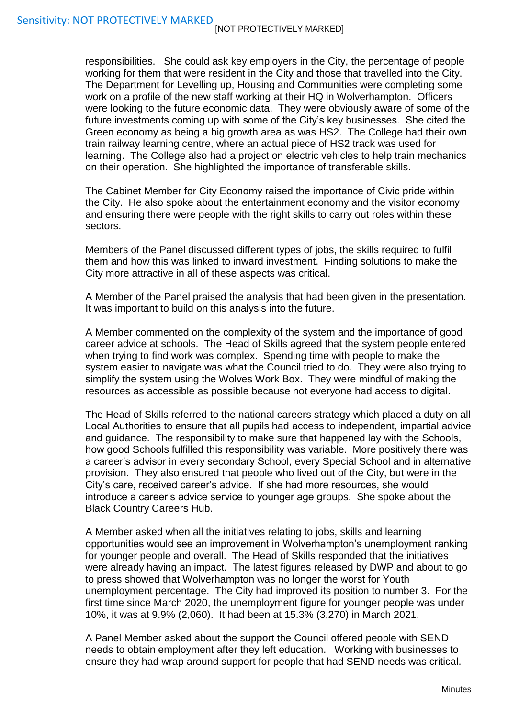responsibilities. She could ask key employers in the City, the percentage of people working for them that were resident in the City and those that travelled into the City. The Department for Levelling up, Housing and Communities were completing some work on a profile of the new staff working at their HQ in Wolverhampton. Officers were looking to the future economic data. They were obviously aware of some of the future investments coming up with some of the City's key businesses. She cited the Green economy as being a big growth area as was HS2. The College had their own train railway learning centre, where an actual piece of HS2 track was used for learning. The College also had a project on electric vehicles to help train mechanics on their operation. She highlighted the importance of transferable skills.

The Cabinet Member for City Economy raised the importance of Civic pride within the City. He also spoke about the entertainment economy and the visitor economy and ensuring there were people with the right skills to carry out roles within these sectors.

Members of the Panel discussed different types of jobs, the skills required to fulfil them and how this was linked to inward investment. Finding solutions to make the City more attractive in all of these aspects was critical.

A Member of the Panel praised the analysis that had been given in the presentation. It was important to build on this analysis into the future.

A Member commented on the complexity of the system and the importance of good career advice at schools. The Head of Skills agreed that the system people entered when trying to find work was complex. Spending time with people to make the system easier to navigate was what the Council tried to do. They were also trying to simplify the system using the Wolves Work Box. They were mindful of making the resources as accessible as possible because not everyone had access to digital.

The Head of Skills referred to the national careers strategy which placed a duty on all Local Authorities to ensure that all pupils had access to independent, impartial advice and guidance. The responsibility to make sure that happened lay with the Schools, how good Schools fulfilled this responsibility was variable. More positively there was a career's advisor in every secondary School, every Special School and in alternative provision. They also ensured that people who lived out of the City, but were in the City's care, received career's advice. If she had more resources, she would introduce a career's advice service to younger age groups. She spoke about the Black Country Careers Hub.

A Member asked when all the initiatives relating to jobs, skills and learning opportunities would see an improvement in Wolverhampton's unemployment ranking for younger people and overall. The Head of Skills responded that the initiatives were already having an impact. The latest figures released by DWP and about to go to press showed that Wolverhampton was no longer the worst for Youth unemployment percentage. The City had improved its position to number 3. For the first time since March 2020, the unemployment figure for younger people was under 10%, it was at 9.9% (2,060). It had been at 15.3% (3,270) in March 2021.

A Panel Member asked about the support the Council offered people with SEND needs to obtain employment after they left education. Working with businesses to ensure they had wrap around support for people that had SEND needs was critical.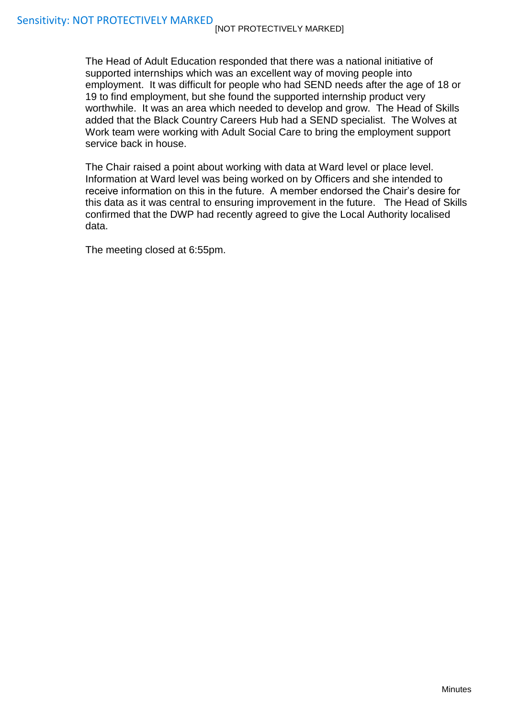The Head of Adult Education responded that there was a national initiative of supported internships which was an excellent way of moving people into employment. It was difficult for people who had SEND needs after the age of 18 or 19 to find employment, but she found the supported internship product very worthwhile. It was an area which needed to develop and grow. The Head of Skills added that the Black Country Careers Hub had a SEND specialist. The Wolves at Work team were working with Adult Social Care to bring the employment support service back in house.

The Chair raised a point about working with data at Ward level or place level. Information at Ward level was being worked on by Officers and she intended to receive information on this in the future. A member endorsed the Chair's desire for this data as it was central to ensuring improvement in the future. The Head of Skills confirmed that the DWP had recently agreed to give the Local Authority localised data.

The meeting closed at 6:55pm.